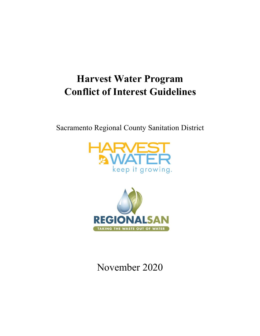# **Harvest Water Program Conflict of Interest Guidelines**

Sacramento Regional County Sanitation District





## November 2020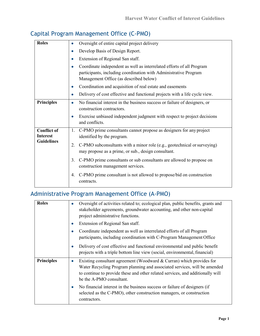| Capital Program Management Office (C-PMO) |  |  |  |  |  |
|-------------------------------------------|--|--|--|--|--|
|-------------------------------------------|--|--|--|--|--|

| <b>Roles</b>                                               | Oversight of entire capital project delivery<br>$\bullet$                                                                                                                                        |
|------------------------------------------------------------|--------------------------------------------------------------------------------------------------------------------------------------------------------------------------------------------------|
|                                                            | Develop Basis of Design Report.<br>$\bullet$                                                                                                                                                     |
|                                                            | Extension of Regional San staff.<br>$\bullet$                                                                                                                                                    |
|                                                            | Coordinate independent as well as interrelated efforts of all Program<br>$\bullet$<br>participants, including coordination with Administrative Program<br>Management Office (as described below) |
|                                                            | Coordination and acquisition of real estate and easements<br>$\bullet$                                                                                                                           |
|                                                            | Delivery of cost effective and functional projects with a life cycle view.<br>$\bullet$                                                                                                          |
| <b>Principles</b>                                          | No financial interest in the business success or failure of designers, or<br>۰<br>construction contractors.                                                                                      |
|                                                            | Exercise unbiased independent judgment with respect to project decisions<br>٠<br>and conflicts.                                                                                                  |
| <b>Conflict of</b><br><b>Interest</b><br><b>Guidelines</b> | C-PMO prime consultants cannot propose as designers for any project<br>1.<br>identified by the program.                                                                                          |
|                                                            | C-PMO subconsultants with a minor role (e.g., geotechnical or surveying)<br>2.<br>may propose as a prime, or sub., design consultant.                                                            |
|                                                            | C-PMO prime consultants or sub consultants are allowed to propose on<br>3.<br>construction management services.                                                                                  |
|                                                            | C-PMO prime consultant is not allowed to propose/bid on construction<br>4.<br>contracts.                                                                                                         |

## Administrative Program Management Office (A-PMO)

| <b>Roles</b>      | Oversight of activities related to; ecological plan, public benefits, grants and<br>$\bullet$<br>stakeholder agreements, groundwater accounting, and other non-capital<br>project administrative functions.                                                                  |
|-------------------|------------------------------------------------------------------------------------------------------------------------------------------------------------------------------------------------------------------------------------------------------------------------------|
|                   | Extension of Regional San staff.<br>$\bullet$                                                                                                                                                                                                                                |
|                   | Coordinate independent as well as interrelated efforts of all Program<br>$\bullet$<br>participants, including coordination with C-Program Management Office                                                                                                                  |
|                   | Delivery of cost effective and functional environmental and public benefit<br>۰<br>projects with a triple bottom line view (social, environmental, financial)                                                                                                                |
| <b>Principles</b> | Existing consultant agreement (Woodward & Curran) which provides for<br>$\bullet$<br>Water Recycling Program planning and associated services, will be amended<br>to continue to provide these and other related services, and additionally will<br>be the A-PMO consultant. |
|                   | No financial interest in the business success or failure of designers (if<br>۰<br>selected as the C-PMO), other construction managers, or construction<br>contractors.                                                                                                       |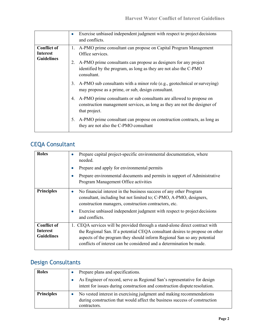|                                                            | Exercise unbiased independent judgment with respect to project decisions<br>۰<br>and conflicts.                                                                                                                                                    |
|------------------------------------------------------------|----------------------------------------------------------------------------------------------------------------------------------------------------------------------------------------------------------------------------------------------------|
| <b>Conflict of</b><br><b>Interest</b><br><b>Guidelines</b> | A-PMO prime consultant can propose on Capital Program Management<br>1.<br>Office services.<br>A-PMO prime consultants can propose as designers for any project<br>identified by the program, as long as they are not also the C-PMO<br>consultant. |
|                                                            | A-PMO sub consultants with a minor role (e.g., geotechnical or surveying)<br>3.<br>may propose as a prime, or sub, design consultant.                                                                                                              |
|                                                            | A-PMO prime consultants or sub consultants are allowed to propose on<br>4.<br>construction management services, as long as they are not the designer of<br>that project.                                                                           |
|                                                            | A-PMO prime consultant can propose on construction contracts, as long as<br>5.<br>they are not also the C-PMO consultant                                                                                                                           |

## CEQA Consultant

| <b>Roles</b>                                               | Prepare capital project-specific environmental documentation, where<br>$\bullet$<br>needed.<br>Prepare and apply for environmental permits<br>$\bullet$<br>Prepare environmental documents and permits in support of Administrative<br>$\bullet$<br>Program Management Office activities                           |
|------------------------------------------------------------|--------------------------------------------------------------------------------------------------------------------------------------------------------------------------------------------------------------------------------------------------------------------------------------------------------------------|
| <b>Principles</b>                                          | No financial interest in the business success of any other Program<br>۰<br>consultant, including but not limited to; C-PMO, A-PMO, designers,<br>construction managers, construction contractors, etc.<br>Exercise unbiased independent judgment with respect to project decisions<br>٠<br>and conflicts.          |
| <b>Conflict of</b><br><b>Interest</b><br><b>Guidelines</b> | CEQA services will be provided through a stand-alone direct contract with<br>1.<br>the Regional San. If a potential CEQA consultant desires to propose on other<br>aspects of the program they should inform Regional San so any potential<br>conflicts of interest can be considered and a determination be made. |

## Design Consultants

| <b>Roles</b>      | Prepare plans and specifications.                                                                                                                                  |  |  |
|-------------------|--------------------------------------------------------------------------------------------------------------------------------------------------------------------|--|--|
|                   | As Engineer of record, serve as Regional San's representative for design<br>intent for issues during construction and construction dispute resolution.             |  |  |
| <b>Principles</b> | No vested interest in exercising judgment and making recommendations<br>during construction that would affect the business success of construction<br>contractors. |  |  |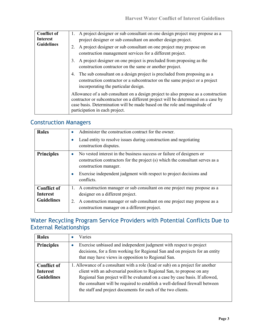| <b>Conflict of</b><br><b>Interest</b> | 1. A project designer or sub consultant on one design project may propose as a<br>project designer or sub consultant on another design project.                                                                                                                                          |
|---------------------------------------|------------------------------------------------------------------------------------------------------------------------------------------------------------------------------------------------------------------------------------------------------------------------------------------|
| <b>Guidelines</b>                     | A project designer or sub consultant on one project may propose on<br>construction management services for a different project.                                                                                                                                                          |
|                                       | A project designer on one project is precluded from proposing as the<br>construction contractor on the same or another project.                                                                                                                                                          |
|                                       | The sub consultant on a design project is precluded from proposing as a<br>construction contractor or a subcontractor on the same project or a project<br>incorporating the particular design.                                                                                           |
|                                       | Allowance of a sub consultant on a design project to also propose as a construction<br>contractor or subcontractor on a different project will be determined on a case by<br>case basis. Determination will be made based on the role and magnitude of<br>participation in each project. |

#### Construction Managers

| <b>Roles</b>                                               | Administer the construction contract for the owner.<br>$\bullet$<br>Lead entity to resolve issues during construction and negotiating<br>٠<br>construction disputes.                                                                                                                   |
|------------------------------------------------------------|----------------------------------------------------------------------------------------------------------------------------------------------------------------------------------------------------------------------------------------------------------------------------------------|
| <b>Principles</b>                                          | No vested interest in the business success or failure of designers or<br>$\bullet$<br>construction contractors for the project (s) which the consultant serves as a<br>construction manager.<br>Exercise independent judgment with respect to project decisions and<br>٠<br>conflicts. |
| <b>Conflict of</b><br><b>Interest</b><br><b>Guidelines</b> | 1. A construction manager or sub consultant on one project may propose as a<br>designer on a different project.<br>A construction manager or sub consultant on one project may propose as a<br>2.<br>construction manager on a different project.                                      |

### Water Recycling Program Service Providers with Potential Conflicts Due to External Relationships

| <b>Roles</b>                                               | Varies                                                                                                                                                                                                                                                                                                                                                                                   |
|------------------------------------------------------------|------------------------------------------------------------------------------------------------------------------------------------------------------------------------------------------------------------------------------------------------------------------------------------------------------------------------------------------------------------------------------------------|
| <b>Principles</b>                                          | Exercise unbiased and independent judgment with respect to project<br>$\bullet$<br>decisions, for a firm working for Regional San and on projects for an entity<br>that may have views in opposition to Regional San.                                                                                                                                                                    |
| <b>Conflict of</b><br><b>Interest</b><br><b>Guidelines</b> | 1. Allowance of a consultant with a role (lead or sub) on a project for another<br>client with an adversarial position to Regional San, to propose on any<br>Regional San project will be evaluated on a case by case basis. If allowed,<br>the consultant will be required to establish a well-defined firewall between<br>the staff and project documents for each of the two clients. |